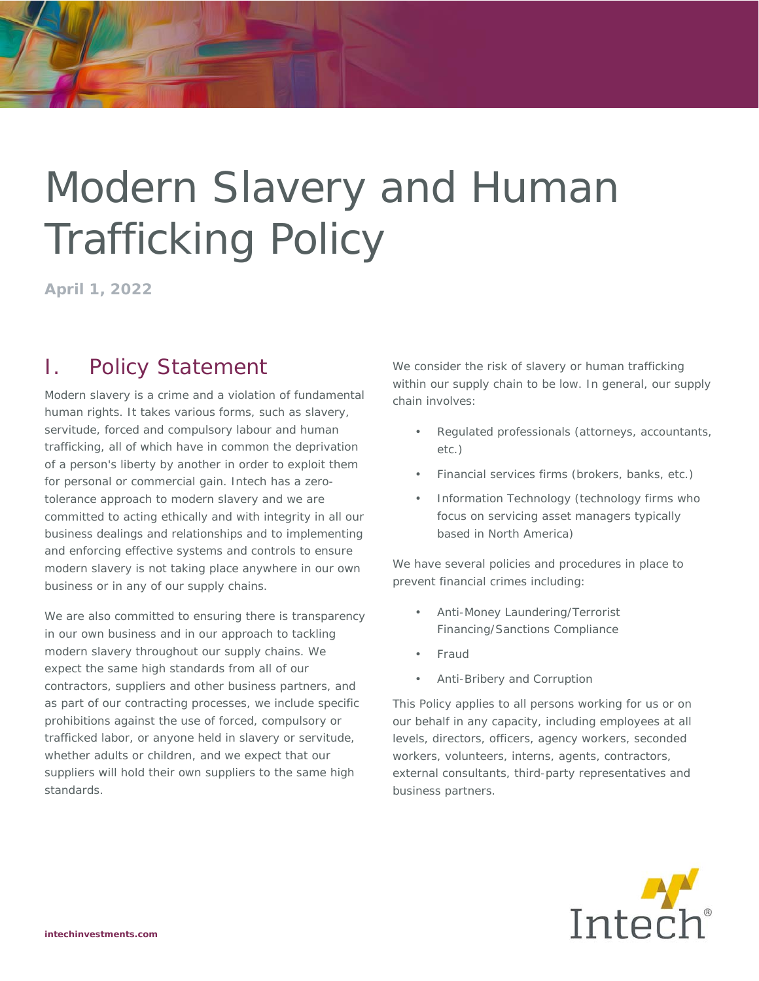# Modern Slavery and Human Trafficking Policy

**April 1, 2022** 

# I. Policy Statement

Modern slavery is a crime and a violation of fundamental human rights. It takes various forms, such as slavery, servitude, forced and compulsory labour and human trafficking, all of which have in common the deprivation of a person's liberty by another in order to exploit them for personal or commercial gain. Intech has a zerotolerance approach to modern slavery and we are committed to acting ethically and with integrity in all our business dealings and relationships and to implementing and enforcing effective systems and controls to ensure modern slavery is not taking place anywhere in our own business or in any of our supply chains.

We are also committed to ensuring there is transparency in our own business and in our approach to tackling modern slavery throughout our supply chains. We expect the same high standards from all of our contractors, suppliers and other business partners, and as part of our contracting processes, we include specific prohibitions against the use of forced, compulsory or trafficked labor, or anyone held in slavery or servitude, whether adults or children, and we expect that our suppliers will hold their own suppliers to the same high standards.

We consider the risk of slavery or human trafficking within our supply chain to be low. In general, our supply chain involves:

- Regulated professionals (attorneys, accountants, etc.)
- Financial services firms (brokers, banks, etc.)
- Information Technology (technology firms who focus on servicing asset managers typically based in North America)

We have several policies and procedures in place to prevent financial crimes including:

- Anti-Money Laundering/Terrorist Financing/Sanctions Compliance
- Fraud
- Anti-Bribery and Corruption

This Policy applies to all persons working for us or on our behalf in any capacity, including employees at all levels, directors, officers, agency workers, seconded workers, volunteers, interns, agents, contractors, external consultants, third-party representatives and business partners.

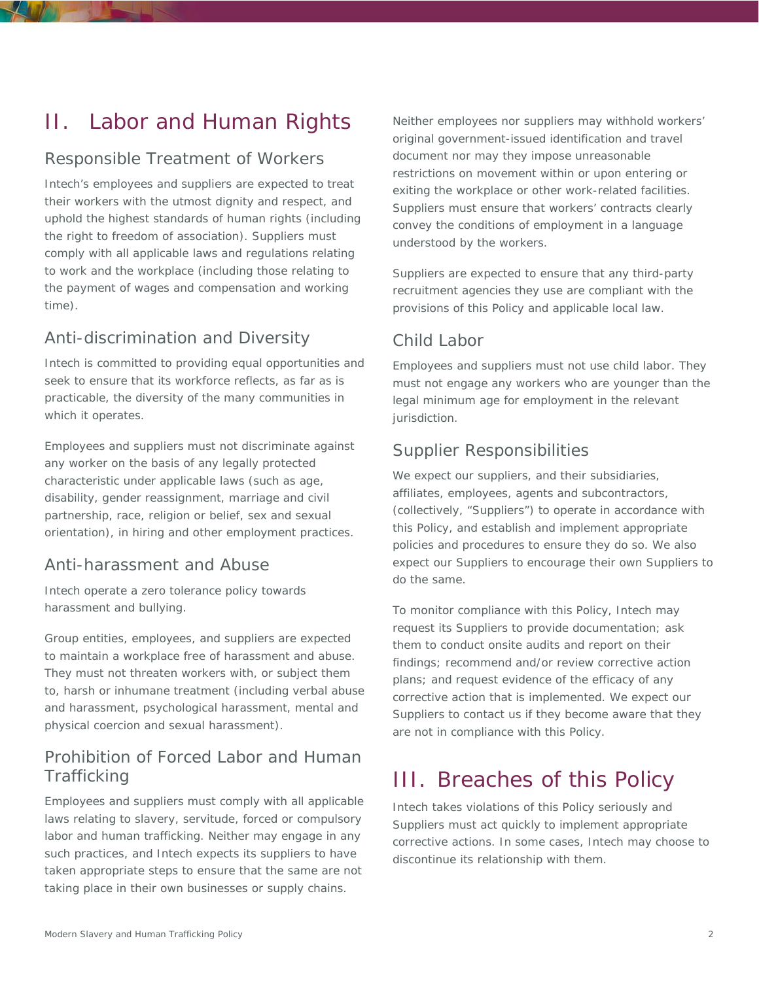## II. Labor and Human Rights

### Responsible Treatment of Workers

Intech's employees and suppliers are expected to treat their workers with the utmost dignity and respect, and uphold the highest standards of human rights (including the right to freedom of association). Suppliers must comply with all applicable laws and regulations relating to work and the workplace (including those relating to the payment of wages and compensation and working time).

## Anti-discrimination and Diversity

Intech is committed to providing equal opportunities and seek to ensure that its workforce reflects, as far as is practicable, the diversity of the many communities in which it operates.

Employees and suppliers must not discriminate against any worker on the basis of any legally protected characteristic under applicable laws (such as age, disability, gender reassignment, marriage and civil partnership, race, religion or belief, sex and sexual orientation), in hiring and other employment practices.

#### Anti-harassment and Abuse

Intech operate a zero tolerance policy towards harassment and bullying.

Group entities, employees, and suppliers are expected to maintain a workplace free of harassment and abuse. They must not threaten workers with, or subject them to, harsh or inhumane treatment (including verbal abuse and harassment, psychological harassment, mental and physical coercion and sexual harassment).

#### Prohibition of Forced Labor and Human **Trafficking**

Employees and suppliers must comply with all applicable laws relating to slavery, servitude, forced or compulsory labor and human trafficking. Neither may engage in any such practices, and Intech expects its suppliers to have taken appropriate steps to ensure that the same are not taking place in their own businesses or supply chains.

Neither employees nor suppliers may withhold workers' original government-issued identification and travel document nor may they impose unreasonable restrictions on movement within or upon entering or exiting the workplace or other work-related facilities. Suppliers must ensure that workers' contracts clearly convey the conditions of employment in a language understood by the workers.

Suppliers are expected to ensure that any third-party recruitment agencies they use are compliant with the provisions of this Policy and applicable local law.

#### Child Labor

Employees and suppliers must not use child labor. They must not engage any workers who are younger than the legal minimum age for employment in the relevant jurisdiction.

#### Supplier Responsibilities

We expect our suppliers, and their subsidiaries, affiliates, employees, agents and subcontractors, (collectively, "Suppliers") to operate in accordance with this Policy, and establish and implement appropriate policies and procedures to ensure they do so. We also expect our Suppliers to encourage their own Suppliers to do the same.

To monitor compliance with this Policy, Intech may request its Suppliers to provide documentation; ask them to conduct onsite audits and report on their findings; recommend and/or review corrective action plans; and request evidence of the efficacy of any corrective action that is implemented. We expect our Suppliers to contact us if they become aware that they are not in compliance with this Policy.

## III. Breaches of this Policy

Intech takes violations of this Policy seriously and Suppliers must act quickly to implement appropriate corrective actions. In some cases, Intech may choose to discontinue its relationship with them.